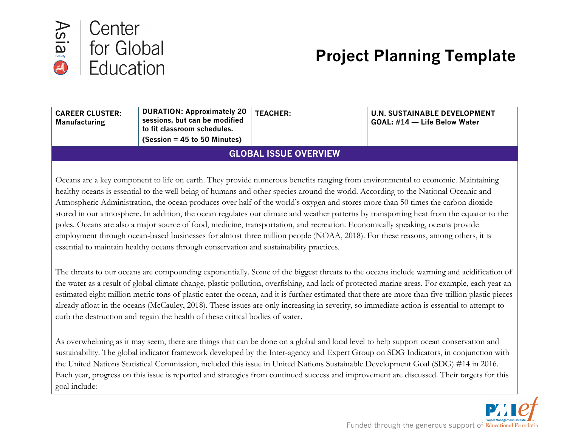

# **Project Planning Template**

| <b>CAREER CLUSTER:</b><br><b>Manufacturing</b>                                                                                           | <b>DURATION: Approximately 20</b><br>sessions, but can be modified<br>to fit classroom schedules.<br>$(Session = 45 to 50$ Minutes) | <b>TEACHER:</b> | <b>U.N. SUSTAINABLE DEVELOPMENT</b><br>GOAL: #14 - Life Below Water |  |  |
|------------------------------------------------------------------------------------------------------------------------------------------|-------------------------------------------------------------------------------------------------------------------------------------|-----------------|---------------------------------------------------------------------|--|--|
| <b>GLOBAL ISSUE OVERVIEW</b>                                                                                                             |                                                                                                                                     |                 |                                                                     |  |  |
|                                                                                                                                          |                                                                                                                                     |                 |                                                                     |  |  |
| Oceans are a key component to life on earth. They provide numerous benefits ranging from environmental to economic. Maintaining          |                                                                                                                                     |                 |                                                                     |  |  |
| healthy oceans is essential to the well-being of humans and other species around the world. According to the National Oceanic and        |                                                                                                                                     |                 |                                                                     |  |  |
| Atmospheric Administration, the ocean produces over half of the world's oxygen and stores more than 50 times the carbon dioxide          |                                                                                                                                     |                 |                                                                     |  |  |
| stored in our atmosphere. In addition, the ocean regulates our climate and weather patterns by transporting heat from the equator to the |                                                                                                                                     |                 |                                                                     |  |  |
| poles. Oceans are also a major source of food, medicine, transportation, and recreation. Economically speaking, oceans provide           |                                                                                                                                     |                 |                                                                     |  |  |
| employment through ocean-based businesses for almost three million people (NOAA, 2018). For these reasons, among others, it is           |                                                                                                                                     |                 |                                                                     |  |  |
| essential to maintain healthy oceans through conservation and sustainability practices.                                                  |                                                                                                                                     |                 |                                                                     |  |  |

The threats to our oceans are compounding exponentially. Some of the biggest threats to the oceans include warming and acidification of the water as a result of global climate change, plastic pollution, overfishing, and lack of protected marine areas. For example, each year an estimated eight million metric tons of plastic enter the ocean, and it is further estimated that there are more than five trillion plastic pieces already afloat in the oceans (McCauley, 2018). These issues are only increasing in severity, so immediate action is essential to attempt to curb the destruction and regain the health of these critical bodies of water.

As overwhelming as it may seem, there are things that can be done on a global and local level to help support ocean conservation and sustainability. The global indicator framework developed by the Inter-agency and Expert Group on SDG Indicators, in conjunction with the United Nations Statistical Commission, included this issue in United Nations Sustainable Development Goal (SDG) #14 in 2016. Each year, progress on this issue is reported and strategies from continued success and improvement are discussed. Their targets for this goal include: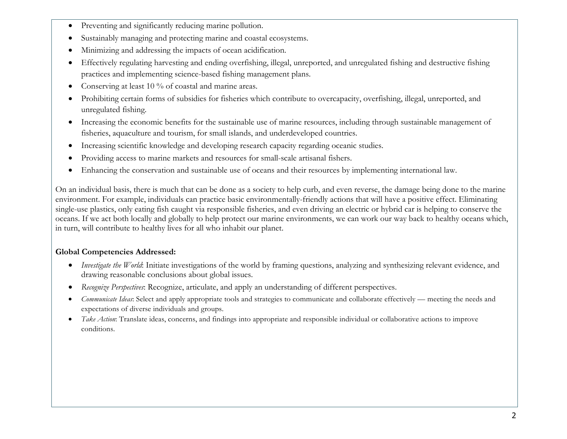- Preventing and significantly reducing marine pollution.
- Sustainably managing and protecting marine and coastal ecosystems.
- Minimizing and addressing the impacts of ocean acidification.
- Effectively regulating harvesting and ending overfishing, illegal, unreported, and unregulated fishing and destructive fishing practices and implementing science-based fishing management plans.
- Conserving at least 10 % of coastal and marine areas.
- Prohibiting certain forms of subsidies for fisheries which contribute to overcapacity, overfishing, illegal, unreported, and unregulated fishing.
- Increasing the economic benefits for the sustainable use of marine resources, including through sustainable management of fisheries, aquaculture and tourism, for small islands, and underdeveloped countries.
- Increasing scientific knowledge and developing research capacity regarding oceanic studies.
- Providing access to marine markets and resources for small-scale artisanal fishers.
- Enhancing the conservation and sustainable use of oceans and their resources by implementing international law.

On an individual basis, there is much that can be done as a society to help curb, and even reverse, the damage being done to the marine environment. For example, individuals can practice basic environmentally-friendly actions that will have a positive effect. Eliminating single-use plastics, only eating fish caught via responsible fisheries, and even driving an electric or hybrid car is helping to conserve the oceans. If we act both locally and globally to help protect our marine environments, we can work our way back to healthy oceans which, in turn, will contribute to healthy lives for all who inhabit our planet.

# **Global Competencies Addressed:**

- *Investigate the World*: Initiate investigations of the world by framing questions, analyzing and synthesizing relevant evidence, and drawing reasonable conclusions about global issues.
- *Recognize Perspectives*: Recognize, articulate, and apply an understanding of different perspectives.
- *Communicate Ideas*: Select and apply appropriate tools and strategies to communicate and collaborate effectively meeting the needs and expectations of diverse individuals and groups.
- *Take Action*: Translate ideas, concerns, and findings into appropriate and responsible individual or collaborative actions to improve conditions.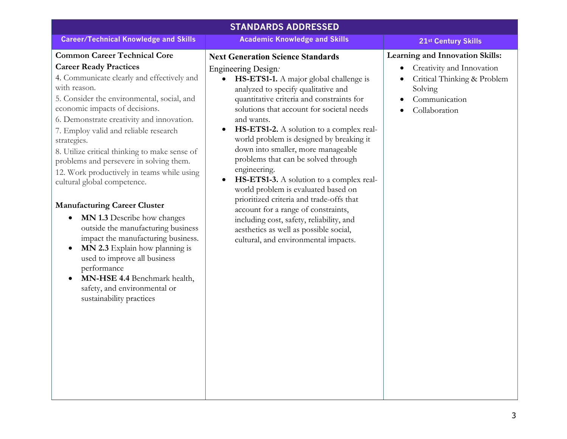| <b>STANDARDS ADDRESSED</b>                                                                                                                                                                                                                                                                                                                                                                                                                                                                                                                                                                                                                                                                                                                                                                                                                                             |                                                                                                                                                                                                                                                                                                                                                                                                                                                                                                                                                                                                                                                                                                                                                                             |                                                                                                                                          |  |  |
|------------------------------------------------------------------------------------------------------------------------------------------------------------------------------------------------------------------------------------------------------------------------------------------------------------------------------------------------------------------------------------------------------------------------------------------------------------------------------------------------------------------------------------------------------------------------------------------------------------------------------------------------------------------------------------------------------------------------------------------------------------------------------------------------------------------------------------------------------------------------|-----------------------------------------------------------------------------------------------------------------------------------------------------------------------------------------------------------------------------------------------------------------------------------------------------------------------------------------------------------------------------------------------------------------------------------------------------------------------------------------------------------------------------------------------------------------------------------------------------------------------------------------------------------------------------------------------------------------------------------------------------------------------------|------------------------------------------------------------------------------------------------------------------------------------------|--|--|
| <b>Career/Technical Knowledge and Skills</b>                                                                                                                                                                                                                                                                                                                                                                                                                                                                                                                                                                                                                                                                                                                                                                                                                           | <b>Academic Knowledge and Skills</b>                                                                                                                                                                                                                                                                                                                                                                                                                                                                                                                                                                                                                                                                                                                                        | 21st Century Skills                                                                                                                      |  |  |
| <b>Common Career Technical Core</b><br><b>Career Ready Practices</b><br>4. Communicate clearly and effectively and<br>with reason.<br>5. Consider the environmental, social, and<br>economic impacts of decisions.<br>6. Demonstrate creativity and innovation.<br>7. Employ valid and reliable research<br>strategies.<br>8. Utilize critical thinking to make sense of<br>problems and persevere in solving them.<br>12. Work productively in teams while using<br>cultural global competence.<br><b>Manufacturing Career Cluster</b><br>MN 1.3 Describe how changes<br>$\bullet$<br>outside the manufacturing business<br>impact the manufacturing business.<br>MN 2.3 Explain how planning is<br>$\bullet$<br>used to improve all business<br>performance<br>MN-HSE 4.4 Benchmark health,<br>$\bullet$<br>safety, and environmental or<br>sustainability practices | <b>Next Generation Science Standards</b><br>Engineering Design.<br>HS-ETS1-1. A major global challenge is<br>analyzed to specify qualitative and<br>quantitative criteria and constraints for<br>solutions that account for societal needs<br>and wants.<br>HS-ETS1-2. A solution to a complex real-<br>$\bullet$<br>world problem is designed by breaking it<br>down into smaller, more manageable<br>problems that can be solved through<br>engineering.<br>HS-ETS1-3. A solution to a complex real-<br>$\bullet$<br>world problem is evaluated based on<br>prioritized criteria and trade-offs that<br>account for a range of constraints,<br>including cost, safety, reliability, and<br>aesthetics as well as possible social,<br>cultural, and environmental impacts. | Learning and Innovation Skills:<br>Creativity and Innovation<br>Critical Thinking & Problem<br>Solving<br>Communication<br>Collaboration |  |  |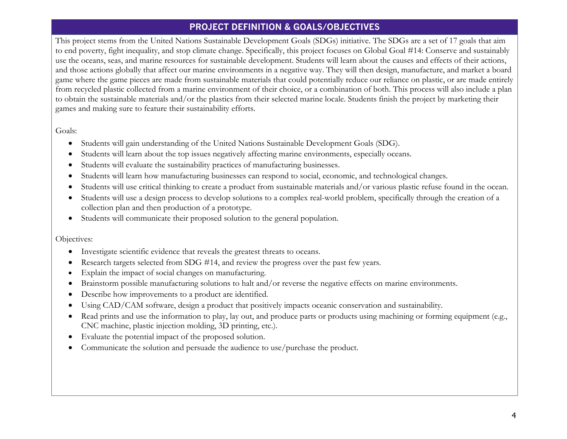# **PROJECT DEFINITION & GOALS/OBJECTIVES**

This project stems from the United Nations Sustainable Development Goals (SDGs) initiative. The SDGs are a set of 17 goals that aim to end poverty, fight inequality, and stop climate change. Specifically, this project focuses on Global Goal #14: Conserve and sustainably use the oceans, seas, and marine resources for sustainable development. Students will learn about the causes and effects of their actions, and those actions globally that affect our marine environments in a negative way. They will then design, manufacture, and market a board game where the game pieces are made from sustainable materials that could potentially reduce our reliance on plastic, or are made entirely from recycled plastic collected from a marine environment of their choice, or a combination of both. This process will also include a plan to obtain the sustainable materials and/or the plastics from their selected marine locale. Students finish the project by marketing their games and making sure to feature their sustainability efforts.

Goals:

- Students will gain understanding of the United Nations Sustainable Development Goals (SDG).
- Students will learn about the top issues negatively affecting marine environments, especially oceans.
- Students will evaluate the sustainability practices of manufacturing businesses.
- Students will learn how manufacturing businesses can respond to social, economic, and technological changes.
- Students will use critical thinking to create a product from sustainable materials and/or various plastic refuse found in the ocean.
- Students will use a design process to develop solutions to a complex real-world problem, specifically through the creation of a collection plan and then production of a prototype.
- Students will communicate their proposed solution to the general population.

Objectives:

- Investigate scientific evidence that reveals the greatest threats to oceans.
- Research targets selected from SDG #14, and review the progress over the past few years.
- Explain the impact of social changes on manufacturing.
- Brainstorm possible manufacturing solutions to halt and/or reverse the negative effects on marine environments.
- Describe how improvements to a product are identified.
- Using CAD/CAM software, design a product that positively impacts oceanic conservation and sustainability.
- Read prints and use the information to play, lay out, and produce parts or products using machining or forming equipment (e.g., CNC machine, plastic injection molding, 3D printing, etc.).
- Evaluate the potential impact of the proposed solution.
- Communicate the solution and persuade the audience to use/purchase the product.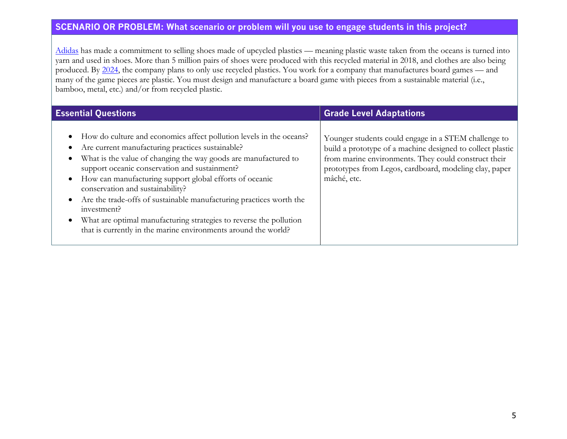# **SCENARIO OR PROBLEM: What scenario or problem will you use to engage students in this project?**

Adidas has made a commitment to selling shoes made of upcycled plastics — meaning plastic waste taken from the oceans is turned into yarn and used in shoes. More than 5 million pairs of shoes were produced with this recycled material in 2018, and clothes are also being produced. By 2024, the company plans to only use recycled plastics. You work for a company that manufactures board games — and many of the game pieces are plastic. You must design and manufacture a board game with pieces from a sustainable material (i.e., bamboo, metal, etc.) and/or from recycled plastic.

| <b>Essential Questions</b>                                                                                                                                                                                                                                                                                                                                                                                                                                                                                                                                                                                                                | <b>Grade Level Adaptations</b>                                                                                                                                                                                                                      |
|-------------------------------------------------------------------------------------------------------------------------------------------------------------------------------------------------------------------------------------------------------------------------------------------------------------------------------------------------------------------------------------------------------------------------------------------------------------------------------------------------------------------------------------------------------------------------------------------------------------------------------------------|-----------------------------------------------------------------------------------------------------------------------------------------------------------------------------------------------------------------------------------------------------|
| How do culture and economics affect pollution levels in the oceans?<br>$\bullet$<br>Are current manufacturing practices sustainable?<br>What is the value of changing the way goods are manufactured to<br>$\bullet$<br>support oceanic conservation and sustainment?<br>How can manufacturing support global efforts of oceanic<br>$\bullet$<br>conservation and sustainability?<br>Are the trade-offs of sustainable manufacturing practices worth the<br>$\bullet$<br>investment?<br>What are optimal manufacturing strategies to reverse the pollution<br>$\bullet$<br>that is currently in the marine environments around the world? | Younger students could engage in a STEM challenge to<br>build a prototype of a machine designed to collect plastic<br>from marine environments. They could construct their<br>prototypes from Legos, cardboard, modeling clay, paper<br>mâché, etc. |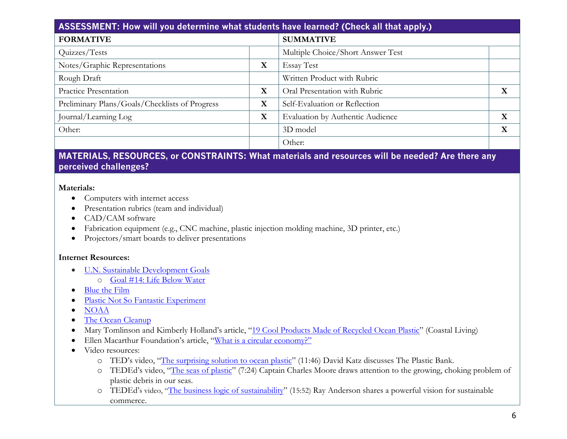| ASSESSMENT: How will you determine what students have learned? (Check all that apply.) |             |                                   |  |             |
|----------------------------------------------------------------------------------------|-------------|-----------------------------------|--|-------------|
| <b>FORMATIVE</b>                                                                       |             | <b>SUMMATIVE</b>                  |  |             |
| Quizzes/Tests                                                                          |             | Multiple Choice/Short Answer Test |  |             |
| Notes/Graphic Representations                                                          | $\mathbf X$ | <b>Essay Test</b>                 |  |             |
| Rough Draft                                                                            |             | Written Product with Rubric       |  |             |
| Practice Presentation                                                                  | X           | Oral Presentation with Rubric     |  | X           |
| Preliminary Plans/Goals/Checklists of Progress                                         | X           | Self-Evaluation or Reflection     |  |             |
| Journal/Learning Log                                                                   | X           | Evaluation by Authentic Audience  |  | $\mathbf X$ |
| Other:                                                                                 |             | 3D model                          |  | $\mathbf X$ |
|                                                                                        |             | Other:                            |  |             |

# **MATERIALS, RESOURCES, or CONSTRAINTS: What materials and resources will be needed? Are there any perceived challenges?**

#### **Materials:**

- Computers with internet access
- Presentation rubrics (team and individual)
- CAD/CAM software
- Fabrication equipment (e.g., CNC machine, plastic injection molding machine, 3D printer, etc.)
- Projectors/smart boards to deliver presentations

## **Internet Resources:**

- U.N. Sustainable Development Goals
	- o Goal #14: Life Below Water
- Blue the Film
- Plastic Not So Fantastic Experiment
- NOAA
- The Ocean Cleanup
- Mary Tomlinson and Kimberly Holland's article, "19 Cool Products Made of Recycled Ocean Plastic" (Coastal Living)
- Ellen Macarthur Foundation's article, "What is a circular economy?"
- Video resources:
	- o TED's video, "The surprising solution to ocean plastic" (11:46) David Katz discusses The Plastic Bank.
	- o TEDEd's video, "The seas of plastic" (7:24) Captain Charles Moore draws attention to the growing, choking problem of plastic debris in our seas.
	- o TEDEd's video, "The business logic of sustainability" (15:52) Ray Anderson shares a powerful vision for sustainable commerce.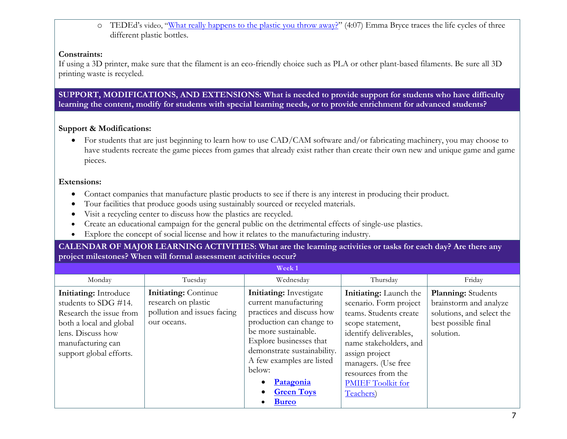o TEDEd's video, "What really happens to the plastic you throw away?" (4:07) Emma Bryce traces the life cycles of three different plastic bottles.

#### **Constraints:**

If using a 3D printer, make sure that the filament is an eco-friendly choice such as PLA or other plant-based filaments. Be sure all 3D printing waste is recycled.

**SUPPORT, MODIFICATIONS, AND EXTENSIONS: What is needed to provide support for students who have difficulty learning the content, modify for students with special learning needs, or to provide enrichment for advanced students?**

## **Support & Modifications:**

• For students that are just beginning to learn how to use CAD/CAM software and/or fabricating machinery, you may choose to have students recreate the game pieces from games that already exist rather than create their own new and unique game and game pieces.

#### **Extensions:**

- Contact companies that manufacture plastic products to see if there is any interest in producing their product.
- Tour facilities that produce goods using sustainably sourced or recycled materials.
- Visit a recycling center to discuss how the plastics are recycled.
- Create an educational campaign for the general public on the detrimental effects of single-use plastics.
- Explore the concept of social license and how it relates to the manufacturing industry.

### **CALENDAR OF MAJOR LEARNING ACTIVITIES: What are the learning activities or tasks for each day? Are there any project milestones? When will formal assessment activities occur?**

| Monday<br>Tuesday<br>Wednesday<br>Thursday                                                                                                                                                                                                                                                                                                                                                                                                                                                                                                                                                                                                                                                                                                                                                                                                                                              | Friday                                                                                                               |
|-----------------------------------------------------------------------------------------------------------------------------------------------------------------------------------------------------------------------------------------------------------------------------------------------------------------------------------------------------------------------------------------------------------------------------------------------------------------------------------------------------------------------------------------------------------------------------------------------------------------------------------------------------------------------------------------------------------------------------------------------------------------------------------------------------------------------------------------------------------------------------------------|----------------------------------------------------------------------------------------------------------------------|
| <b>Initiating:</b> Investigate<br><b>Initiating:</b> Continue<br><b>Initiating:</b> Introduce<br>Initiating: Launch the<br>research on plastic<br>current manufacturing<br>students to SDG #14.<br>scenario. Form project<br>pollution and issues facing<br>practices and discuss how<br>teams. Students create<br>Research the issue from<br>production can change to<br>our oceans.<br>both a local and global<br>scope statement,<br>be more sustainable.<br>lens. Discuss how<br>identify deliverables,<br>Explore businesses that<br>name stakeholders, and<br>manufacturing can<br>demonstrate sustainability.<br>assign project<br>support global efforts.<br>A few examples are listed<br>managers. (Use free<br>below:<br>resources from the<br>Patagonia<br>$\bullet$<br><b>PMIEF</b> Toolkit for<br><b>Green Toys</b><br>$\bullet$<br>Teachers)<br><b>Bureo</b><br>$\bullet$ | <b>Planning:</b> Students<br>brainstorm and analyze<br>solutions, and select the<br>best possible final<br>solution. |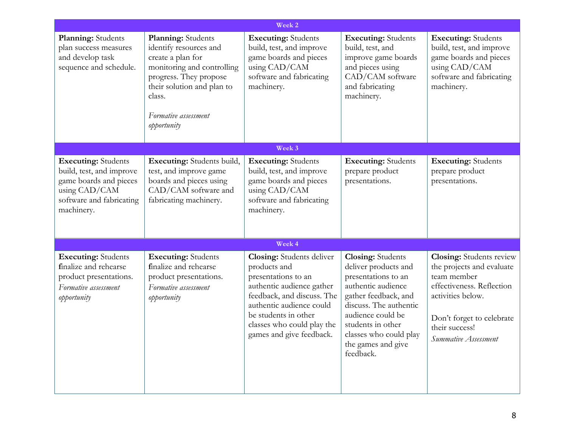| Week 2                                                                                                                                      |                                                                                                                                                                                                          |                                                                                                                                                                                                                                                  |                                                                                                                                                                                                                                                        |                                                                                                                                                                                                      |
|---------------------------------------------------------------------------------------------------------------------------------------------|----------------------------------------------------------------------------------------------------------------------------------------------------------------------------------------------------------|--------------------------------------------------------------------------------------------------------------------------------------------------------------------------------------------------------------------------------------------------|--------------------------------------------------------------------------------------------------------------------------------------------------------------------------------------------------------------------------------------------------------|------------------------------------------------------------------------------------------------------------------------------------------------------------------------------------------------------|
| Planning: Students<br>plan success measures<br>and develop task<br>sequence and schedule.                                                   | Planning: Students<br>identify resources and<br>create a plan for<br>monitoring and controlling<br>progress. They propose<br>their solution and plan to<br>class.<br>Formative assessment<br>opportunity | <b>Executing:</b> Students<br>build, test, and improve<br>game boards and pieces<br>using CAD/CAM<br>software and fabricating<br>machinery.                                                                                                      | <b>Executing:</b> Students<br>build, test, and<br>improve game boards<br>and pieces using<br>CAD/CAM software<br>and fabricating<br>machinery.                                                                                                         | <b>Executing:</b> Students<br>build, test, and improve<br>game boards and pieces<br>using CAD/CAM<br>software and fabricating<br>machinery.                                                          |
|                                                                                                                                             |                                                                                                                                                                                                          | Week 3                                                                                                                                                                                                                                           |                                                                                                                                                                                                                                                        |                                                                                                                                                                                                      |
| <b>Executing:</b> Students<br>build, test, and improve<br>game boards and pieces<br>using CAD/CAM<br>software and fabricating<br>machinery. | Executing: Students build,<br>test, and improve game<br>boards and pieces using<br>CAD/CAM software and<br>fabricating machinery.                                                                        | <b>Executing:</b> Students<br>build, test, and improve<br>game boards and pieces<br>using CAD/CAM<br>software and fabricating<br>machinery.                                                                                                      | <b>Executing:</b> Students<br>prepare product<br>presentations.                                                                                                                                                                                        | <b>Executing:</b> Students<br>prepare product<br>presentations.                                                                                                                                      |
|                                                                                                                                             |                                                                                                                                                                                                          | Week 4                                                                                                                                                                                                                                           |                                                                                                                                                                                                                                                        |                                                                                                                                                                                                      |
| <b>Executing:</b> Students<br>finalize and rehearse<br>product presentations.<br>Formative assessment<br>opportunity                        | <b>Executing:</b> Students<br>finalize and rehearse<br>product presentations.<br>Formative assessment<br>opportunity                                                                                     | <b>Closing:</b> Students deliver<br>products and<br>presentations to an<br>authentic audience gather<br>feedback, and discuss. The<br>authentic audience could<br>be students in other<br>classes who could play the<br>games and give feedback. | <b>Closing:</b> Students<br>deliver products and<br>presentations to an<br>authentic audience<br>gather feedback, and<br>discuss. The authentic<br>audience could be<br>students in other<br>classes who could play<br>the games and give<br>feedback. | <b>Closing:</b> Students review<br>the projects and evaluate<br>team member<br>effectiveness. Reflection<br>activities below.<br>Don't forget to celebrate<br>their success!<br>Summative Assessment |